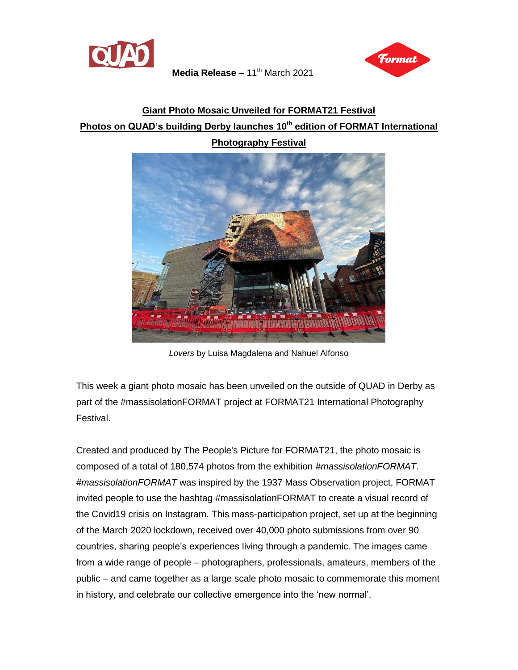



## **Giant Photo Mosaic Unveiled for FORMAT21 Festival Photos on QUAD's building Derby launches 10th edition of FORMAT International Photography Festival**



*Lovers* by Luisa Magdalena and Nahuel Alfonso

This week a giant photo mosaic has been unveiled on the outside of QUAD in Derby as part of the #massisolationFORMAT project at FORMAT21 International Photography Festival.

Created and produced by The People's Picture for FORMAT21, the photo mosaic is composed of a total of 180,574 photos from the exhibition *#massisolationFORMAT*. *#massisolationFORMAT* was inspired by the 1937 Mass Observation project, FORMAT invited people to use the hashtag #massisolationFORMAT to create a visual record of the Covid19 crisis on Instagram. This mass-participation project, set up at the beginning of the March 2020 lockdown, received over 40,000 photo submissions from over 90 countries, sharing people's experiences living through a pandemic. The images came from a wide range of people – photographers, professionals, amateurs, members of the public – and came together as a large scale photo mosaic to commemorate this moment in history, and celebrate our collective emergence into the 'new normal'.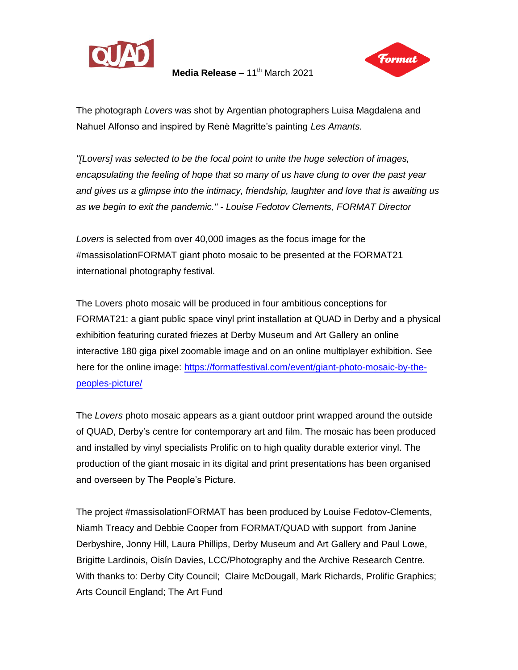



The photograph *Lovers* was shot by Argentian photographers Luisa Magdalena and Nahuel Alfonso and inspired by Renè Magritte's painting *Les Amants.*

*"[Lovers] was selected to be the focal point to unite the huge selection of images, encapsulating the feeling of hope that so many of us have clung to over the past year and gives us a glimpse into the intimacy, friendship, laughter and love that is awaiting us as we begin to exit the pandemic." - Louise Fedotov Clements, FORMAT Director*

*Lovers* is selected from over 40,000 images as the focus image for the #massisolationFORMAT giant photo mosaic to be presented at the FORMAT21 international photography festival.

The Lovers photo mosaic will be produced in four ambitious conceptions for FORMAT21: a giant public space vinyl print installation at QUAD in Derby and a physical exhibition featuring curated friezes at Derby Museum and Art Gallery an online interactive 180 giga pixel zoomable image and on an online multiplayer exhibition. See here for the online image: [https://formatfestival.com/event/giant-photo-mosaic-by-the](https://formatfestival.com/event/giant-photo-mosaic-by-the-peoples-picture/)[peoples-picture/](https://formatfestival.com/event/giant-photo-mosaic-by-the-peoples-picture/)

The *Lovers* photo mosaic appears as a giant outdoor print wrapped around the outside of QUAD, Derby's centre for contemporary art and film. The mosaic has been produced and installed by vinyl specialists Prolific on to high quality durable exterior vinyl. The production of the giant mosaic in its digital and print presentations has been organised and overseen by The People's Picture.

The project #massisolationFORMAT has been produced by Louise Fedotov-Clements, Niamh Treacy and Debbie Cooper from FORMAT/QUAD with support from Janine Derbyshire, Jonny Hill, Laura Phillips, Derby Museum and Art Gallery and Paul Lowe, Brigitte Lardinois, Oisín Davies, LCC/Photography and the Archive Research Centre. With thanks to: Derby City Council; Claire McDougall, Mark Richards, Prolific Graphics; Arts Council England; The Art Fund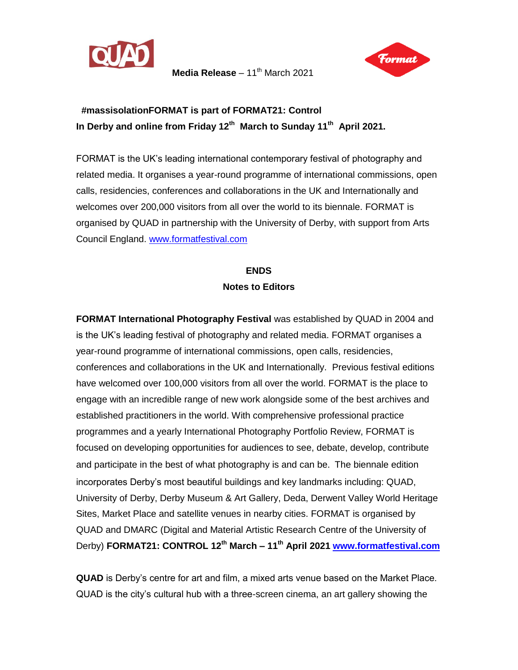



## **#massisolationFORMAT is part of FORMAT21: Control In Derby and online from Friday 12th March to Sunday 11th April 2021.**

FORMAT is the UK's leading international contemporary festival of photography and related media. It organises a year-round programme of international commissions, open calls, residencies, conferences and collaborations in the UK and Internationally and welcomes over 200,000 visitors from all over the world to its biennale. FORMAT is organised by QUAD in partnership with the University of Derby, with support from Arts Council England. [www.formatfestival.com](http://www.formatfestival.com/) 

## **ENDS Notes to Editors**

**FORMAT International Photography Festival** was established by QUAD in 2004 and is the UK's leading festival of photography and related media. FORMAT organises a year-round programme of international commissions, open calls, residencies, conferences and collaborations in the UK and Internationally. Previous festival editions have welcomed over 100,000 visitors from all over the world. FORMAT is the place to engage with an incredible range of new work alongside some of the best archives and established practitioners in the world. With comprehensive professional practice programmes and a yearly International Photography Portfolio Review, FORMAT is focused on developing opportunities for audiences to see, debate, develop, contribute and participate in the best of what photography is and can be. The biennale edition incorporates Derby's most beautiful buildings and key landmarks including: QUAD, University of Derby, Derby Museum & Art Gallery, Deda, Derwent Valley World Heritage Sites, Market Place and satellite venues in nearby cities. FORMAT is organised by QUAD and DMARC (Digital and Material Artistic Research Centre of the University of Derby) **FORMAT21: CONTROL 12 th March – 11 th April 2021 [www.formatfestival.com](http://www.formatfestival.com/)**

**QUAD** is Derby's centre for art and film, a mixed arts venue based on the Market Place. QUAD is the city's cultural hub with a three-screen cinema, an art gallery showing the